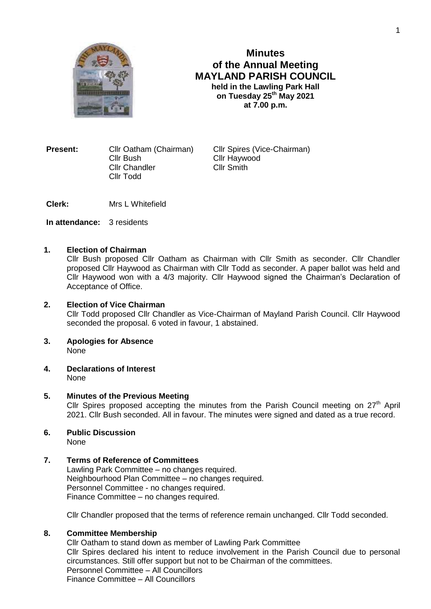

# **Minutes of the Annual Meeting MAYLAND PARISH COUNCIL held in the Lawling Park Hall on Tuesday 25th May 2021 at 7.00 p.m.**

**Present:** Cllr Oatham (Chairman) Cllr Spires (Vice-Chairman) Cllr Bush Cllr Haywood Cllr Chandler Cllr Smith Cllr Todd

**Clerk:** Mrs L Whitefield

**In attendance:** 3 residents

## **1. Election of Chairman**

Cllr Bush proposed Cllr Oatham as Chairman with Cllr Smith as seconder. Cllr Chandler proposed Cllr Haywood as Chairman with Cllr Todd as seconder. A paper ballot was held and Cllr Haywood won with a 4/3 majority. Cllr Haywood signed the Chairman's Declaration of Acceptance of Office.

# **2. Election of Vice Chairman** Cllr Todd proposed Cllr Chandler as Vice-Chairman of Mayland Parish Council. Cllr Haywood seconded the proposal. 6 voted in favour, 1 abstained.

- **3. Apologies for Absence** None
- **4. Declarations of Interest** None

# **5. Minutes of the Previous Meeting**

Cllr Spires proposed accepting the minutes from the Parish Council meeting on  $27<sup>th</sup>$  April 2021. Cllr Bush seconded. All in favour. The minutes were signed and dated as a true record.

**6. Public Discussion** None

## **7. Terms of Reference of Committees**

Lawling Park Committee – no changes required. Neighbourhood Plan Committee – no changes required. Personnel Committee - no changes required. Finance Committee – no changes required.

Cllr Chandler proposed that the terms of reference remain unchanged. Cllr Todd seconded.

## **8. Committee Membership**

Cllr Oatham to stand down as member of Lawling Park Committee Cllr Spires declared his intent to reduce involvement in the Parish Council due to personal circumstances. Still offer support but not to be Chairman of the committees. Personnel Committee – All Councillors Finance Committee – All Councillors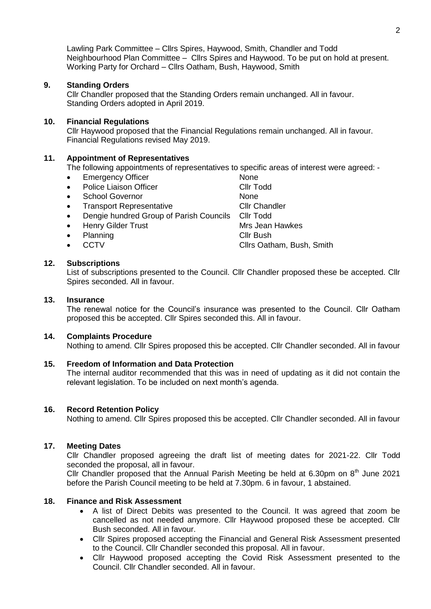Lawling Park Committee – Cllrs Spires, Haywood, Smith, Chandler and Todd Neighbourhood Plan Committee – Cllrs Spires and Haywood. To be put on hold at present. Working Party for Orchard – Cllrs Oatham, Bush, Haywood, Smith

## **9. Standing Orders**

Cllr Chandler proposed that the Standing Orders remain unchanged. All in favour. Standing Orders adopted in April 2019.

#### **10. Financial Regulations**

Cllr Haywood proposed that the Financial Regulations remain unchanged. All in favour. Financial Regulations revised May 2019.

#### **11. Appointment of Representatives**

The following appointments of representatives to specific areas of interest were agreed: -

- Emergency Officer None
- Police Liaison Officer Cliquet Cliquet Cliquet Cliquet Cliquet Cliquet Cliquet Cliquet Cliquet Cliquet Cliquet
- School Governor None
- Transport Representative Cllr Chandler
- Dengie hundred Group of Parish Councils Cllr Todd
- Henry Gilder Trust Mrs Jean Hawkes
- 
- 

Planning **Cli**r Bush CCTV CCTV Clirs Oatham, Bush, Smith

## **12. Subscriptions**

List of subscriptions presented to the Council. Cllr Chandler proposed these be accepted. Cllr Spires seconded. All in favour.

#### **13. Insurance**

The renewal notice for the Council's insurance was presented to the Council. Cllr Oatham proposed this be accepted. Cllr Spires seconded this. All in favour.

#### **14. Complaints Procedure**

Nothing to amend. Cllr Spires proposed this be accepted. Cllr Chandler seconded. All in favour

#### **15. Freedom of Information and Data Protection**

The internal auditor recommended that this was in need of updating as it did not contain the relevant legislation. To be included on next month's agenda.

#### **16. Record Retention Policy**

Nothing to amend. Cllr Spires proposed this be accepted. Cllr Chandler seconded. All in favour

#### **17. Meeting Dates**

Cllr Chandler proposed agreeing the draft list of meeting dates for 2021-22. Cllr Todd seconded the proposal, all in favour.

Cllr Chandler proposed that the Annual Parish Meeting be held at 6.30pm on  $8<sup>th</sup>$  June 2021 before the Parish Council meeting to be held at 7.30pm. 6 in favour, 1 abstained.

#### **18. Finance and Risk Assessment**

- A list of Direct Debits was presented to the Council. It was agreed that zoom be cancelled as not needed anymore. Cllr Haywood proposed these be accepted. Cllr Bush seconded. All in favour.
- Cllr Spires proposed accepting the Financial and General Risk Assessment presented to the Council. Cllr Chandler seconded this proposal. All in favour.
- Cllr Haywood proposed accepting the Covid Risk Assessment presented to the Council. Cllr Chandler seconded. All in favour.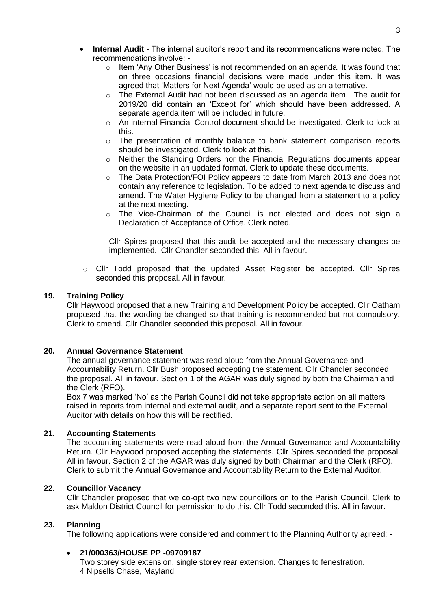- **Internal Audit** The internal auditor's report and its recommendations were noted. The recommendations involve:
	- o Item 'Any Other Business' is not recommended on an agenda. It was found that on three occasions financial decisions were made under this item. It was agreed that 'Matters for Next Agenda' would be used as an alternative.
	- $\circ$  The External Audit had not been discussed as an agenda item. The audit for 2019/20 did contain an 'Except for' which should have been addressed. A separate agenda item will be included in future.
	- o An internal Financial Control document should be investigated. Clerk to look at this.
	- o The presentation of monthly balance to bank statement comparison reports should be investigated. Clerk to look at this.
	- o Neither the Standing Orders nor the Financial Regulations documents appear on the website in an updated format. Clerk to update these documents.
	- o The Data Protection/FOI Policy appears to date from March 2013 and does not contain any reference to legislation. To be added to next agenda to discuss and amend. The Water Hygiene Policy to be changed from a statement to a policy at the next meeting.
	- $\circ$  The Vice-Chairman of the Council is not elected and does not sign a Declaration of Acceptance of Office. Clerk noted.

Cllr Spires proposed that this audit be accepted and the necessary changes be implemented. Cllr Chandler seconded this. All in favour.

o Cllr Todd proposed that the updated Asset Register be accepted. Cllr Spires seconded this proposal. All in favour.

## **19. Training Policy**

Cllr Haywood proposed that a new Training and Development Policy be accepted. Cllr Oatham proposed that the wording be changed so that training is recommended but not compulsory. Clerk to amend. Cllr Chandler seconded this proposal. All in favour.

## **20. Annual Governance Statement**

The annual governance statement was read aloud from the Annual Governance and Accountability Return. Cllr Bush proposed accepting the statement. Cllr Chandler seconded the proposal. All in favour. Section 1 of the AGAR was duly signed by both the Chairman and the Clerk (RFO).

Box 7 was marked 'No' as the Parish Council did not take appropriate action on all matters raised in reports from internal and external audit, and a separate report sent to the External Auditor with details on how this will be rectified.

## **21. Accounting Statements**

The accounting statements were read aloud from the Annual Governance and Accountability Return. Cllr Haywood proposed accepting the statements. Cllr Spires seconded the proposal. All in favour. Section 2 of the AGAR was duly signed by both Chairman and the Clerk (RFO). Clerk to submit the Annual Governance and Accountability Return to the External Auditor.

## **22. Councillor Vacancy**

Cllr Chandler proposed that we co-opt two new councillors on to the Parish Council. Clerk to ask Maldon District Council for permission to do this. Cllr Todd seconded this. All in favour.

## **23. Planning**

The following applications were considered and comment to the Planning Authority agreed: -

## **21/000363/HOUSE PP -09709187**

Two storey side extension, single storey rear extension. Changes to fenestration. 4 Nipsells Chase, Mayland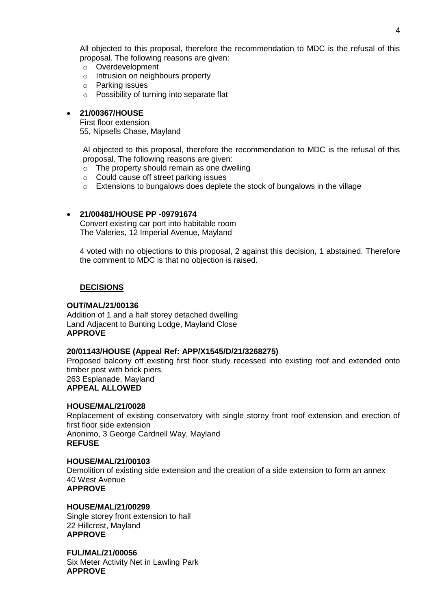All objected to this proposal, therefore the recommendation to MDC is the refusal of this proposal. The following reasons are given:

- o Overdevelopment
- o Intrusion on neighbours property
- o Parking issues
- o Possibility of turning into separate flat

#### **21/00367/HOUSE**

First floor extension

55, Nipsells Chase, Mayland

Al objected to this proposal, therefore the recommendation to MDC is the refusal of this proposal. The following reasons are given:

- $\circ$  The property should remain as one dwelling
- o Could cause off street parking issues
- o Extensions to bungalows does deplete the stock of bungalows in the village

## **21/00481/HOUSE PP -09791674**

Convert existing car port into habitable room The Valeries, 12 Imperial Avenue, Mayland

4 voted with no objections to this proposal, 2 against this decision, 1 abstained. Therefore the comment to MDC is that no objection is raised.

## **DECISIONS**

## **OUT/MAL/21/00136**

Addition of 1 and a half storey detached dwelling Land Adjacent to Bunting Lodge, Mayland Close **APPROVE**

#### **20/01143/HOUSE (Appeal Ref: APP/X1545/D/21/3268275)**

Proposed balcony off existing first floor study recessed into existing roof and extended onto timber post with brick piers.

263 Esplanade, Mayland **APPEAL ALLOWED**

# **HOUSE/MAL/21/0028**

Replacement of existing conservatory with single storey front roof extension and erection of first floor side extension Anonimo, 3 George Cardnell Way, Mayland **REFUSE**

## **HOUSE/MAL/21/00103**

Demolition of existing side extension and the creation of a side extension to form an annex 40 West Avenue **APPROVE**

## **HOUSE/MAL/21/00299**

Single storey front extension to hall 22 Hillcrest, Mayland **APPROVE**

**FUL/MAL/21/00056** Six Meter Activity Net in Lawling Park **APPROVE**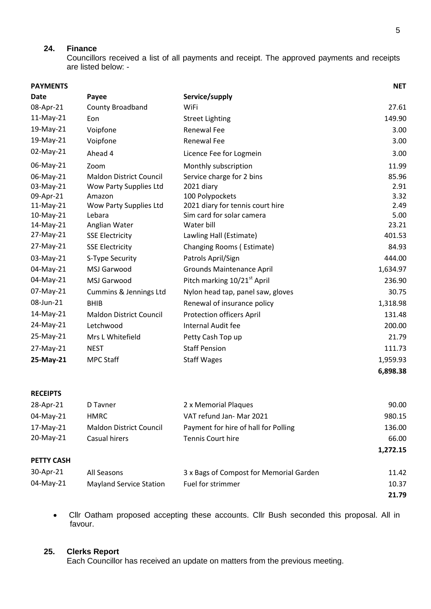# **24. Finance**

Councillors received a list of all payments and receipt. The approved payments and receipts are listed below: -

| <b>PAYMENTS</b> |                                |                                         | <b>NET</b> |
|-----------------|--------------------------------|-----------------------------------------|------------|
| Date            | Payee                          | Service/supply                          |            |
| 08-Apr-21       | County Broadband               | WiFi                                    | 27.61      |
| 11-May-21       | Eon                            | <b>Street Lighting</b>                  | 149.90     |
| 19-May-21       | Voipfone                       | Renewal Fee                             | 3.00       |
| 19-May-21       | Voipfone                       | <b>Renewal Fee</b>                      | 3.00       |
| 02-May-21       | Ahead 4                        | Licence Fee for Logmein                 | 3.00       |
| 06-May-21       | Zoom                           | Monthly subscription                    | 11.99      |
| 06-May-21       | <b>Maldon District Council</b> | Service charge for 2 bins               | 85.96      |
| 03-May-21       | Wow Party Supplies Ltd         | 2021 diary                              | 2.91       |
| 09-Apr-21       | Amazon                         | 100 Polypockets                         | 3.32       |
| 11-May-21       | Wow Party Supplies Ltd         | 2021 diary for tennis court hire        | 2.49       |
| 10-May-21       | Lebara                         | Sim card for solar camera               | 5.00       |
| 14-May-21       | Anglian Water                  | Water bill                              | 23.21      |
| 27-May-21       | <b>SSE Electricity</b>         | Lawling Hall (Estimate)                 | 401.53     |
| 27-May-21       | <b>SSE Electricity</b>         | Changing Rooms (Estimate)               | 84.93      |
| 03-May-21       | S-Type Security                | Patrols April/Sign                      | 444.00     |
| 04-May-21       | MSJ Garwood                    | <b>Grounds Maintenance April</b>        | 1,634.97   |
| 04-May-21       | MSJ Garwood                    | Pitch marking 10/21 <sup>st</sup> April | 236.90     |
| 07-May-21       | Cummins & Jennings Ltd         | Nylon head tap, panel saw, gloves       | 30.75      |
| 08-Jun-21       | <b>BHIB</b>                    | Renewal of insurance policy             | 1,318.98   |
| 14-May-21       | <b>Maldon District Council</b> | <b>Protection officers April</b>        | 131.48     |
| 24-May-21       | Letchwood                      | Internal Audit fee                      | 200.00     |
| 25-May-21       | Mrs L Whitefield               | Petty Cash Top up                       | 21.79      |
| 27-May-21       | <b>NEST</b>                    | <b>Staff Pension</b>                    | 111.73     |
| 25-May-21       | <b>MPC Staff</b>               | <b>Staff Wages</b>                      | 1,959.93   |
|                 |                                |                                         | 6,898.38   |
|                 |                                |                                         |            |

#### **RECEIPTS**

| 28-Apr-21         | D Tayner                | 2 x Memorial Plaques                    | 90.00    |
|-------------------|-------------------------|-----------------------------------------|----------|
| 04-May-21         | HMRC                    | VAT refund Jan- Mar 2021                | 980.15   |
| $17-May-21$       | Maldon District Council | Payment for hire of hall for Polling    | 136.00   |
| $20$ -May-21      | Casual hirers           | <b>Tennis Court hire</b>                | 66.00    |
|                   |                         |                                         | 1,272.15 |
| <b>PETTY CASH</b> |                         |                                         |          |
| 30-Apr-21         | All Seasons             | 3 x Bags of Compost for Memorial Garden | 11.42    |

| 33. IV. LL | ciiucasulis             | <b>University International Galaci</b> | ⊥⊥.┭∠ |
|------------|-------------------------|----------------------------------------|-------|
| 04-May-21  | Mayland Service Station | Fuel for strimmer                      | 10.37 |
|            |                         |                                        | 21.79 |

 Cllr Oatham proposed accepting these accounts. Cllr Bush seconded this proposal. All in favour.

## **25. Clerks Report**

Each Councillor has received an update on matters from the previous meeting.